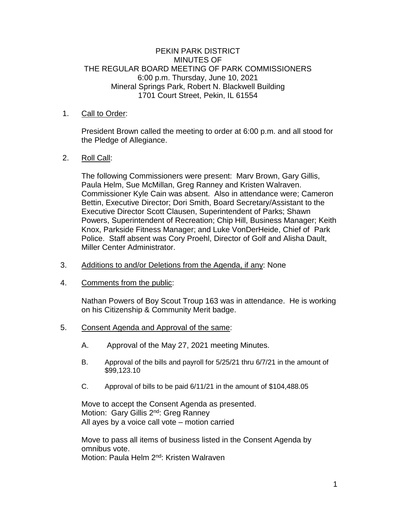# PEKIN PARK DISTRICT MINUTES OF THE REGULAR BOARD MEETING OF PARK COMMISSIONERS 6:00 p.m. Thursday, June 10, 2021 Mineral Springs Park, Robert N. Blackwell Building 1701 Court Street, Pekin, IL 61554

# 1. Call to Order:

President Brown called the meeting to order at 6:00 p.m. and all stood for the Pledge of Allegiance.

### 2. Roll Call:

The following Commissioners were present: Marv Brown, Gary Gillis, Paula Helm, Sue McMillan, Greg Ranney and Kristen Walraven. Commissioner Kyle Cain was absent. Also in attendance were; Cameron Bettin, Executive Director; Dori Smith, Board Secretary/Assistant to the Executive Director Scott Clausen, Superintendent of Parks; Shawn Powers, Superintendent of Recreation; Chip Hill, Business Manager; Keith Knox, Parkside Fitness Manager; and Luke VonDerHeide, Chief of Park Police. Staff absent was Cory Proehl, Director of Golf and Alisha Dault, Miller Center Administrator.

- 3. Additions to and/or Deletions from the Agenda, if any: None
- 4. Comments from the public:

Nathan Powers of Boy Scout Troup 163 was in attendance. He is working on his Citizenship & Community Merit badge.

- 5. Consent Agenda and Approval of the same:
	- A. Approval of the May 27, 2021 meeting Minutes.
	- B. Approval of the bills and payroll for 5/25/21 thru 6/7/21 in the amount of \$99,123.10
	- C. Approval of bills to be paid 6/11/21 in the amount of \$104,488.05

Move to accept the Consent Agenda as presented. Motion: Gary Gillis 2<sup>nd</sup>: Greg Ranney All ayes by a voice call vote – motion carried

Move to pass all items of business listed in the Consent Agenda by omnibus vote. Motion: Paula Helm 2nd: Kristen Walraven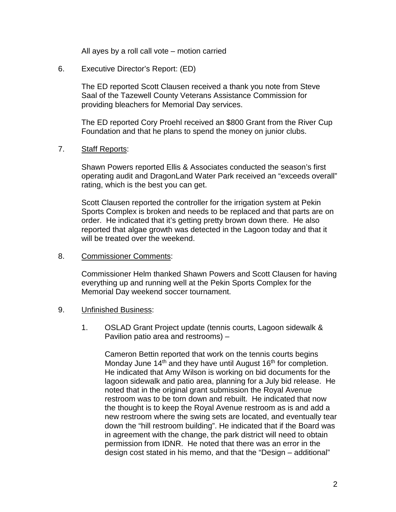All ayes by a roll call vote – motion carried

6. Executive Director's Report: (ED)

The ED reported Scott Clausen received a thank you note from Steve Saal of the Tazewell County Veterans Assistance Commission for providing bleachers for Memorial Day services.

The ED reported Cory Proehl received an \$800 Grant from the River Cup Foundation and that he plans to spend the money on junior clubs.

### 7. Staff Reports:

Shawn Powers reported Ellis & Associates conducted the season's first operating audit and DragonLand Water Park received an "exceeds overall" rating, which is the best you can get.

Scott Clausen reported the controller for the irrigation system at Pekin Sports Complex is broken and needs to be replaced and that parts are on order. He indicated that it's getting pretty brown down there. He also reported that algae growth was detected in the Lagoon today and that it will be treated over the weekend.

## 8. Commissioner Comments:

Commissioner Helm thanked Shawn Powers and Scott Clausen for having everything up and running well at the Pekin Sports Complex for the Memorial Day weekend soccer tournament.

#### 9. Unfinished Business:

1. OSLAD Grant Project update (tennis courts, Lagoon sidewalk & Pavilion patio area and restrooms) –

Cameron Bettin reported that work on the tennis courts begins Monday June 14<sup>th</sup> and they have until August 16<sup>th</sup> for completion. He indicated that Amy Wilson is working on bid documents for the lagoon sidewalk and patio area, planning for a July bid release. He noted that in the original grant submission the Royal Avenue restroom was to be torn down and rebuilt. He indicated that now the thought is to keep the Royal Avenue restroom as is and add a new restroom where the swing sets are located, and eventually tear down the "hill restroom building". He indicated that if the Board was in agreement with the change, the park district will need to obtain permission from IDNR. He noted that there was an error in the design cost stated in his memo, and that the "Design – additional"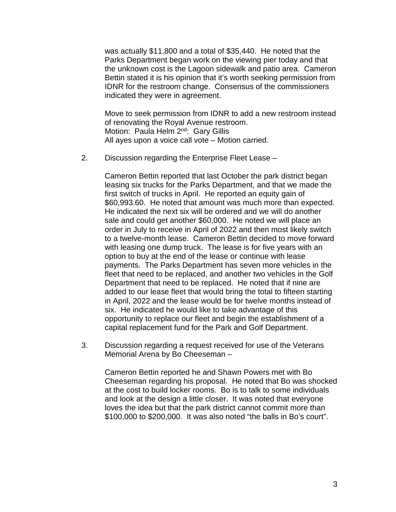was actually \$11,800 and a total of \$35,440. He noted that the Parks Department began work on the viewing pier today and that the unknown cost is the Lagoon sidewalk and patio area. Cameron Bettin stated it is his opinion that it's worth seeking permission from IDNR for the restroom change. Consensus of the commissioners indicated they were in agreement.

Move to seek permission from IDNR to add a new restroom instead of renovating the Royal Avenue restroom. Motion: Paula Helm 2<sup>nd</sup>: Gary Gillis All ayes upon a voice call vote – Motion carried.

2. Discussion regarding the Enterprise Fleet Lease –

Cameron Bettin reported that last October the park district began leasing six trucks for the Parks Department, and that we made the first switch of trucks in April. He reported an equity gain of \$60,993.60. He noted that amount was much more than expected. He indicated the next six will be ordered and we will do another sale and could get another \$60,000. He noted we will place an order in July to receive in April of 2022 and then most likely switch to a twelve-month lease. Cameron Bettin decided to move forward with leasing one dump truck. The lease is for five years with an option to buy at the end of the lease or continue with lease payments. The Parks Department has seven more vehicles in the fleet that need to be replaced, and another two vehicles in the Golf Department that need to be replaced. He noted that if nine are added to our lease fleet that would bring the total to fifteen starting in April, 2022 and the lease would be for twelve months instead of six. He indicated he would like to take advantage of this opportunity to replace our fleet and begin the establishment of a capital replacement fund for the Park and Golf Department.

3. Discussion regarding a request received for use of the Veterans Memorial Arena by Bo Cheeseman –

Cameron Bettin reported he and Shawn Powers met with Bo Cheeseman regarding his proposal. He noted that Bo was shocked at the cost to build locker rooms. Bo is to talk to some individuals and look at the design a little closer. It was noted that everyone loves the idea but that the park district cannot commit more than \$100,000 to \$200,000. It was also noted "the balls in Bo's court".